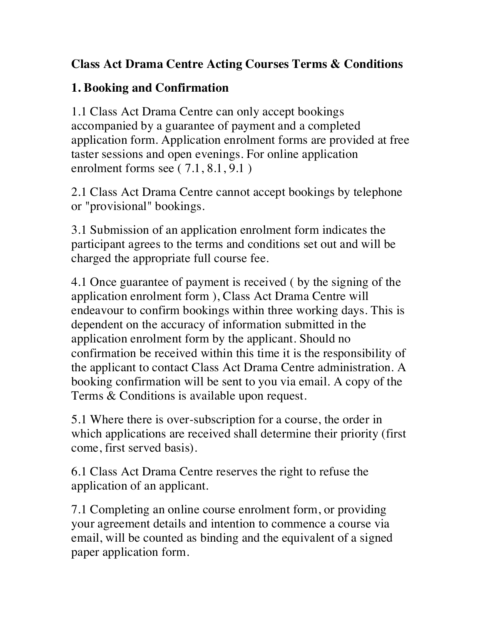### **Class Act Drama Centre Acting Courses Terms & Conditions**

### **1. Booking and Confirmation**

1.1 Class Act Drama Centre can only accept bookings accompanied by a guarantee of payment and a completed application form. Application enrolment forms are provided at free taster sessions and open evenings. For online application enrolment forms see  $(7.1, 8.1, 9.1)$ 

2.1 Class Act Drama Centre cannot accept bookings by telephone or "provisional" bookings.

3.1 Submission of an application enrolment form indicates the participant agrees to the terms and conditions set out and will be charged the appropriate full course fee.

4.1 Once guarantee of payment is received ( by the signing of the application enrolment form ), Class Act Drama Centre will endeavour to confirm bookings within three working days. This is dependent on the accuracy of information submitted in the application enrolment form by the applicant. Should no confirmation be received within this time it is the responsibility of the applicant to contact Class Act Drama Centre administration. A booking confirmation will be sent to you via email. A copy of the Terms & Conditions is available upon request.

5.1 Where there is over-subscription for a course, the order in which applications are received shall determine their priority (first come, first served basis).

6.1 Class Act Drama Centre reserves the right to refuse the application of an applicant.

7.1 Completing an online course enrolment form, or providing your agreement details and intention to commence a course via email, will be counted as binding and the equivalent of a signed paper application form.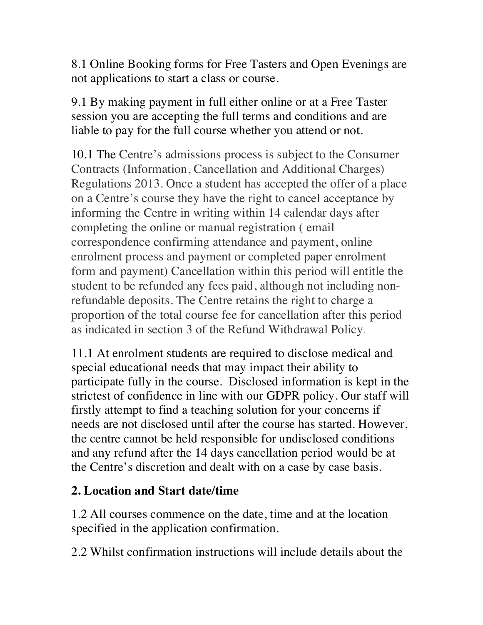8.1 Online Booking forms for Free Tasters and Open Evenings are not applications to start a class or course.

9.1 By making payment in full either online or at a Free Taster session you are accepting the full terms and conditions and are liable to pay for the full course whether you attend or not.

10.1 The Centre's admissions process is subject to the Consumer Contracts (Information, Cancellation and Additional Charges) Regulations 2013. Once a student has accepted the offer of a place on a Centre's course they have the right to cancel acceptance by informing the Centre in writing within 14 calendar days after completing the online or manual registration ( email correspondence confirming attendance and payment, online enrolment process and payment or completed paper enrolment form and payment) Cancellation within this period will entitle the student to be refunded any fees paid, although not including nonrefundable deposits. The Centre retains the right to charge a proportion of the total course fee for cancellation after this period as indicated in section 3 of the Refund Withdrawal Policy.

11.1 At enrolment students are required to disclose medical and special educational needs that may impact their ability to participate fully in the course. Disclosed information is kept in the strictest of confidence in line with our GDPR policy. Our staff will firstly attempt to find a teaching solution for your concerns if needs are not disclosed until after the course has started. However, the centre cannot be held responsible for undisclosed conditions and any refund after the 14 days cancellation period would be at the Centre's discretion and dealt with on a case by case basis.

### **2. Location and Start date/time**

1.2 All courses commence on the date, time and at the location specified in the application confirmation.

2.2 Whilst confirmation instructions will include details about the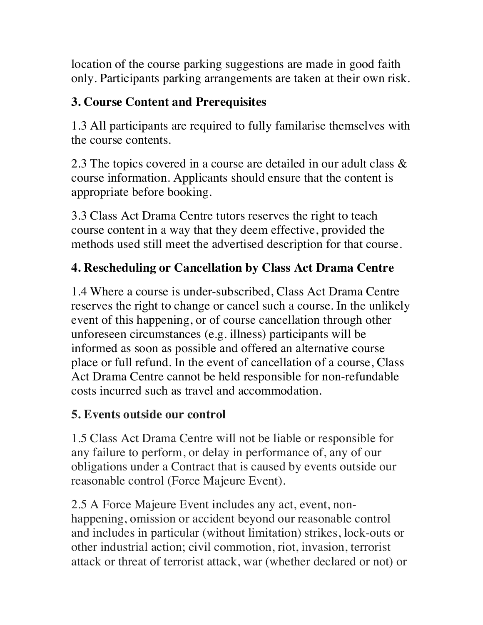location of the course parking suggestions are made in good faith only. Participants parking arrangements are taken at their own risk.

## **3. Course Content and Prerequisites**

1.3 All participants are required to fully familarise themselves with the course contents.

2.3 The topics covered in a course are detailed in our adult class  $\&$ course information. Applicants should ensure that the content is appropriate before booking.

3.3 Class Act Drama Centre tutors reserves the right to teach course content in a way that they deem effective, provided the methods used still meet the advertised description for that course.

## **4. Rescheduling or Cancellation by Class Act Drama Centre**

1.4 Where a course is under-subscribed, Class Act Drama Centre reserves the right to change or cancel such a course. In the unlikely event of this happening, or of course cancellation through other unforeseen circumstances (e.g. illness) participants will be informed as soon as possible and offered an alternative course place or full refund. In the event of cancellation of a course, Class Act Drama Centre cannot be held responsible for non-refundable costs incurred such as travel and accommodation.

## **5. Events outside our control**

1.5 Class Act Drama Centre will not be liable or responsible for any failure to perform, or delay in performance of, any of our obligations under a Contract that is caused by events outside our reasonable control (Force Majeure Event).

2.5 A Force Majeure Event includes any act, event, nonhappening, omission or accident beyond our reasonable control and includes in particular (without limitation) strikes, lock-outs or other industrial action; civil commotion, riot, invasion, terrorist attack or threat of terrorist attack, war (whether declared or not) or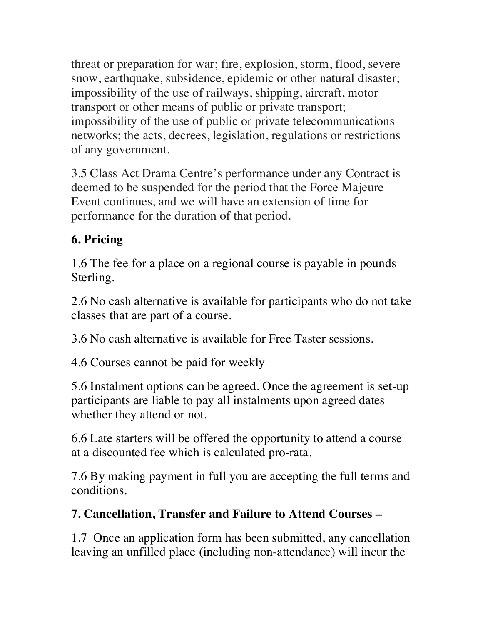threat or preparation for war; fire, explosion, storm, flood, severe snow, earthquake, subsidence, epidemic or other natural disaster; impossibility of the use of railways, shipping, aircraft, motor transport or other means of public or private transport; impossibility of the use of public or private telecommunications networks; the acts, decrees, legislation, regulations or restrictions of any government.

3.5 Class Act Drama Centre's performance under any Contract is deemed to be suspended for the period that the Force Majeure Event continues, and we will have an extension of time for performance for the duration of that period.

## **6. Pricing**

1.6 The fee for a place on a regional course is payable in pounds Sterling.

2.6 No cash alternative is available for participants who do not take classes that are part of a course.

3.6 No cash alternative is available for Free Taster sessions.

4.6 Courses cannot be paid for weekly

5.6 Instalment options can be agreed. Once the agreement is set-up participants are liable to pay all instalments upon agreed dates whether they attend or not.

6.6 Late starters will be offered the opportunity to attend a course at a discounted fee which is calculated pro-rata.

7.6 By making payment in full you are accepting the full terms and conditions.

### **7. Cancellation, Transfer and Failure to Attend Courses –**

1.7 Once an application form has been submitted, any cancellation leaving an unfilled place (including non-attendance) will incur the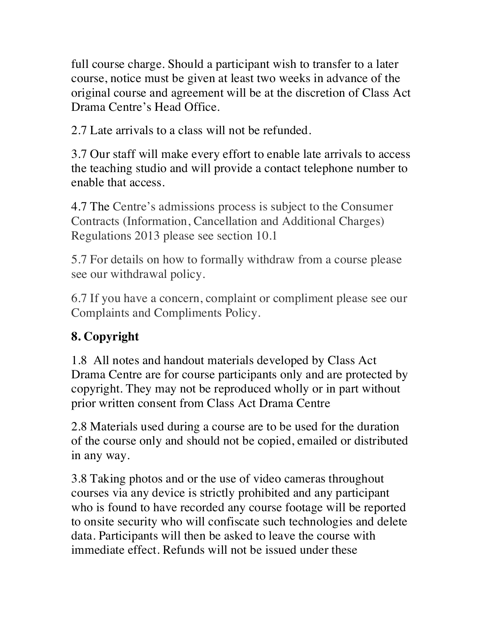full course charge. Should a participant wish to transfer to a later course, notice must be given at least two weeks in advance of the original course and agreement will be at the discretion of Class Act Drama Centre's Head Office.

2.7 Late arrivals to a class will not be refunded.

3.7 Our staff will make every effort to enable late arrivals to access the teaching studio and will provide a contact telephone number to enable that access.

4.7 The Centre's admissions process is subject to the Consumer Contracts (Information, Cancellation and Additional Charges) Regulations 2013 please see section 10.1

5.7 For details on how to formally withdraw from a course please see our withdrawal policy.

6.7 If you have a concern, complaint or compliment please see our Complaints and Compliments Policy.

# **8. Copyright**

1.8 All notes and handout materials developed by Class Act Drama Centre are for course participants only and are protected by copyright. They may not be reproduced wholly or in part without prior written consent from Class Act Drama Centre

2.8 Materials used during a course are to be used for the duration of the course only and should not be copied, emailed or distributed in any way.

3.8 Taking photos and or the use of video cameras throughout courses via any device is strictly prohibited and any participant who is found to have recorded any course footage will be reported to onsite security who will confiscate such technologies and delete data. Participants will then be asked to leave the course with immediate effect. Refunds will not be issued under these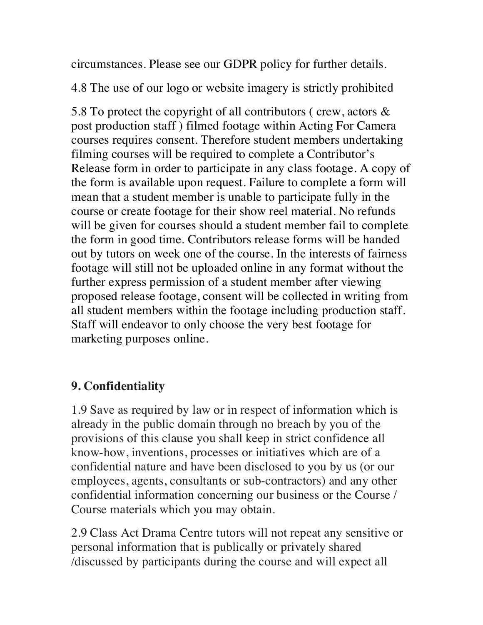circumstances. Please see our GDPR policy for further details.

4.8 The use of our logo or website imagery is strictly prohibited

5.8 To protect the copyright of all contributors ( crew, actors & post production staff ) filmed footage within Acting For Camera courses requires consent. Therefore student members undertaking filming courses will be required to complete a Contributor's Release form in order to participate in any class footage. A copy of the form is available upon request. Failure to complete a form will mean that a student member is unable to participate fully in the course or create footage for their show reel material. No refunds will be given for courses should a student member fail to complete the form in good time. Contributors release forms will be handed out by tutors on week one of the course. In the interests of fairness footage will still not be uploaded online in any format without the further express permission of a student member after viewing proposed release footage, consent will be collected in writing from all student members within the footage including production staff. Staff will endeavor to only choose the very best footage for marketing purposes online.

#### **9. Confidentiality**

1.9 Save as required by law or in respect of information which is already in the public domain through no breach by you of the provisions of this clause you shall keep in strict confidence all know-how, inventions, processes or initiatives which are of a confidential nature and have been disclosed to you by us (or our employees, agents, consultants or sub-contractors) and any other confidential information concerning our business or the Course / Course materials which you may obtain.

2.9 Class Act Drama Centre tutors will not repeat any sensitive or personal information that is publically or privately shared /discussed by participants during the course and will expect all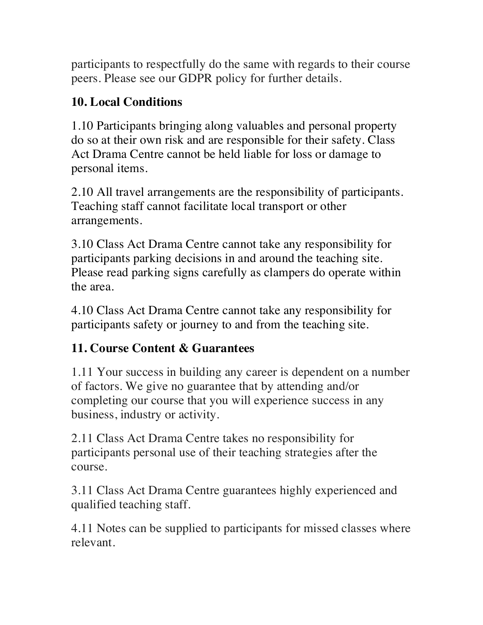participants to respectfully do the same with regards to their course peers. Please see our GDPR policy for further details.

### **10. Local Conditions**

1.10 Participants bringing along valuables and personal property do so at their own risk and are responsible for their safety. Class Act Drama Centre cannot be held liable for loss or damage to personal items.

2.10 All travel arrangements are the responsibility of participants. Teaching staff cannot facilitate local transport or other arrangements.

3.10 Class Act Drama Centre cannot take any responsibility for participants parking decisions in and around the teaching site. Please read parking signs carefully as clampers do operate within the area.

4.10 Class Act Drama Centre cannot take any responsibility for participants safety or journey to and from the teaching site.

## **11. Course Content & Guarantees**

1.11 Your success in building any career is dependent on a number of factors. We give no guarantee that by attending and/or completing our course that you will experience success in any business, industry or activity.

2.11 Class Act Drama Centre takes no responsibility for participants personal use of their teaching strategies after the course.

3.11 Class Act Drama Centre guarantees highly experienced and qualified teaching staff.

4.11 Notes can be supplied to participants for missed classes where relevant.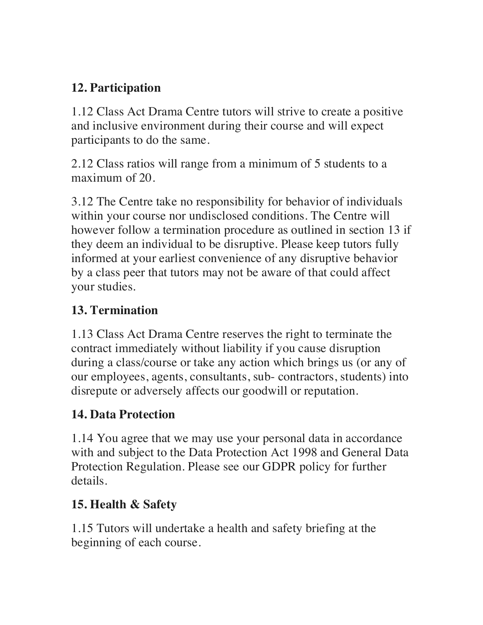### **12. Participation**

1.12 Class Act Drama Centre tutors will strive to create a positive and inclusive environment during their course and will expect participants to do the same.

2.12 Class ratios will range from a minimum of 5 students to a maximum of 20.

3.12 The Centre take no responsibility for behavior of individuals within your course nor undisclosed conditions. The Centre will however follow a termination procedure as outlined in section 13 if they deem an individual to be disruptive. Please keep tutors fully informed at your earliest convenience of any disruptive behavior by a class peer that tutors may not be aware of that could affect your studies.

### **13. Termination**

1.13 Class Act Drama Centre reserves the right to terminate the contract immediately without liability if you cause disruption during a class/course or take any action which brings us (or any of our employees, agents, consultants, sub- contractors, students) into disrepute or adversely affects our goodwill or reputation.

## **14. Data Protection**

1.14 You agree that we may use your personal data in accordance with and subject to the Data Protection Act 1998 and General Data Protection Regulation. Please see our GDPR policy for further details.

## **15. Health & Safety**

1.15 Tutors will undertake a health and safety briefing at the beginning of each course.